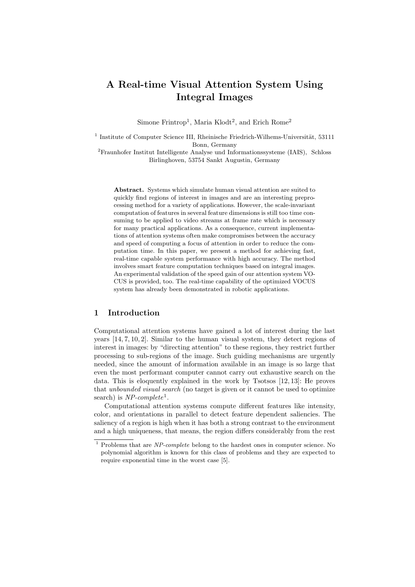# A Real-time Visual Attention System Using Integral Images

Simone Frintrop<sup>1</sup>, Maria Klodt<sup>2</sup>, and Erich Rome<sup>2</sup>

 $<sup>1</sup>$  Institute of Computer Science III, Rheinische Friedrich-Wilhems-Universität, 53111</sup> Bonn, Germany

<sup>2</sup>Fraunhofer Institut Intelligente Analyse und Informationssysteme (IAIS), Schloss Birlinghoven, 53754 Sankt Augustin, Germany

Abstract. Systems which simulate human visual attention are suited to quickly find regions of interest in images and are an interesting preprocessing method for a variety of applications. However, the scale-invariant computation of features in several feature dimensions is still too time consuming to be applied to video streams at frame rate which is necessary for many practical applications. As a consequence, current implementations of attention systems often make compromises between the accuracy and speed of computing a focus of attention in order to reduce the computation time. In this paper, we present a method for achieving fast, real-time capable system performance with high accuracy. The method involves smart feature computation techniques based on integral images. An experimental validation of the speed gain of our attention system VO-CUS is provided, too. The real-time capability of the optimized VOCUS system has already been demonstrated in robotic applications.

# 1 Introduction

Computational attention systems have gained a lot of interest during the last years [14, 7, 10, 2]. Similar to the human visual system, they detect regions of interest in images: by "directing attention" to these regions, they restrict further processing to sub-regions of the image. Such guiding mechanisms are urgently needed, since the amount of information available in an image is so large that even the most performant computer cannot carry out exhaustive search on the data. This is eloquently explained in the work by Tsotsos [12, 13]: He proves that unbounded visual search (no target is given or it cannot be used to optimize search) is  $NP-complete<sup>1</sup>$ .

Computational attention systems compute different features like intensity, color, and orientations in parallel to detect feature dependent saliencies. The saliency of a region is high when it has both a strong contrast to the environment and a high uniqueness, that means, the region differs considerably from the rest

 $1$  Problems that are *NP-complete* belong to the hardest ones in computer science. No polynomial algorithm is known for this class of problems and they are expected to require exponential time in the worst case [5].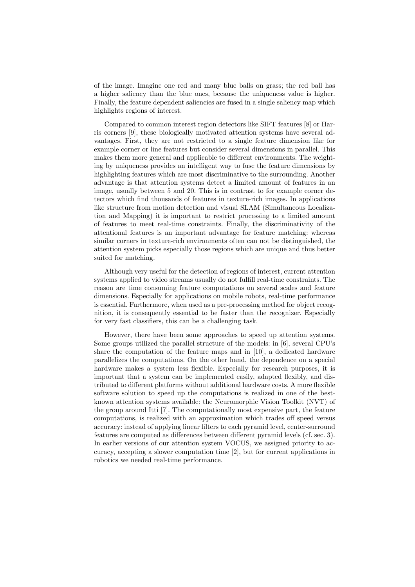of the image. Imagine one red and many blue balls on grass; the red ball has a higher saliency than the blue ones, because the uniqueness value is higher. Finally, the feature dependent saliencies are fused in a single saliency map which highlights regions of interest.

Compared to common interest region detectors like SIFT features [8] or Harris corners [9], these biologically motivated attention systems have several advantages. First, they are not restricted to a single feature dimension like for example corner or line features but consider several dimensions in parallel. This makes them more general and applicable to different environments. The weighting by uniqueness provides an intelligent way to fuse the feature dimensions by highlighting features which are most discriminative to the surrounding. Another advantage is that attention systems detect a limited amount of features in an image, usually between 5 and 20. This is in contrast to for example corner detectors which find thousands of features in texture-rich images. In applications like structure from motion detection and visual SLAM (Simultaneous Localization and Mapping) it is important to restrict processing to a limited amount of features to meet real-time constraints. Finally, the discriminativity of the attentional features is an important advantage for feature matching: whereas similar corners in texture-rich environments often can not be distinguished, the attention system picks especially those regions which are unique and thus better suited for matching.

Although very useful for the detection of regions of interest, current attention systems applied to video streams usually do not fulfill real-time constraints. The reason are time consuming feature computations on several scales and feature dimensions. Especially for applications on mobile robots, real-time performance is essential. Furthermore, when used as a pre-processing method for object recognition, it is consequently essential to be faster than the recognizer. Especially for very fast classifiers, this can be a challenging task.

However, there have been some approaches to speed up attention systems. Some groups utilized the parallel structure of the models: in [6], several CPU's share the computation of the feature maps and in [10], a dedicated hardware parallelizes the computations. On the other hand, the dependence on a special hardware makes a system less flexible. Especially for research purposes, it is important that a system can be implemented easily, adapted flexibly, and distributed to different platforms without additional hardware costs. A more flexible software solution to speed up the computations is realized in one of the bestknown attention systems available: the Neuromorphic Vision Toolkit (NVT) of the group around Itti [7]. The computationally most expensive part, the feature computations, is realized with an approximation which trades off speed versus accuracy: instead of applying linear filters to each pyramid level, center-surround features are computed as differences between different pyramid levels (cf. sec. 3). In earlier versions of our attention system VOCUS, we assigned priority to accuracy, accepting a slower computation time [2], but for current applications in robotics we needed real-time performance.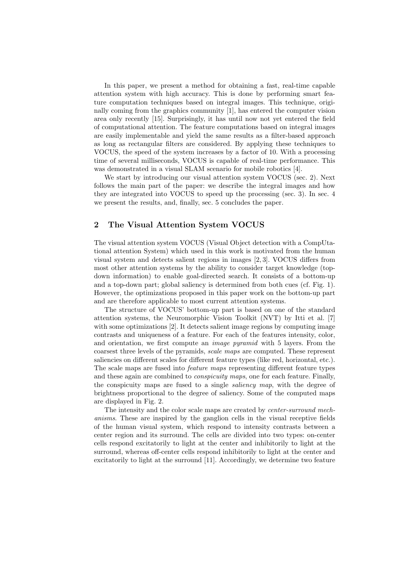In this paper, we present a method for obtaining a fast, real-time capable attention system with high accuracy. This is done by performing smart feature computation techniques based on integral images. This technique, originally coming from the graphics community [1], has entered the computer vision area only recently [15]. Surprisingly, it has until now not yet entered the field of computational attention. The feature computations based on integral images are easily implementable and yield the same results as a filter-based approach as long as rectangular filters are considered. By applying these techniques to VOCUS, the speed of the system increases by a factor of 10. With a processing time of several milliseconds, VOCUS is capable of real-time performance. This was demonstrated in a visual SLAM scenario for mobile robotics [4].

We start by introducing our visual attention system VOCUS (sec. 2). Next follows the main part of the paper: we describe the integral images and how they are integrated into VOCUS to speed up the processing (sec. 3). In sec. 4 we present the results, and, finally, sec. 5 concludes the paper.

# 2 The Visual Attention System VOCUS

The visual attention system VOCUS (Visual Object detection with a CompUtational attention System) which used in this work is motivated from the human visual system and detects salient regions in images [2, 3]. VOCUS differs from most other attention systems by the ability to consider target knowledge (topdown information) to enable goal-directed search. It consists of a bottom-up and a top-down part; global saliency is determined from both cues (cf. Fig. 1). However, the optimizations proposed in this paper work on the bottom-up part and are therefore applicable to most current attention systems.

The structure of VOCUS' bottom-up part is based on one of the standard attention systems, the Neuromorphic Vision Toolkit (NVT) by Itti et al. [7] with some optimizations [2]. It detects salient image regions by computing image contrasts and uniqueness of a feature. For each of the features intensity, color, and orientation, we first compute an *image pyramid* with 5 layers. From the coarsest three levels of the pyramids, scale maps are computed. These represent saliencies on different scales for different feature types (like red, horizontal, etc.). The scale maps are fused into feature maps representing different feature types and these again are combined to conspicuity maps, one for each feature. Finally, the conspicuity maps are fused to a single *saliency map*, with the degree of brightness proportional to the degree of saliency. Some of the computed maps are displayed in Fig. 2.

The intensity and the color scale maps are created by center-surround mechanisms. These are inspired by the ganglion cells in the visual receptive fields of the human visual system, which respond to intensity contrasts between a center region and its surround. The cells are divided into two types: on-center cells respond excitatorily to light at the center and inhibitorily to light at the surround, whereas off-center cells respond inhibitorily to light at the center and excitatorily to light at the surround [11]. Accordingly, we determine two feature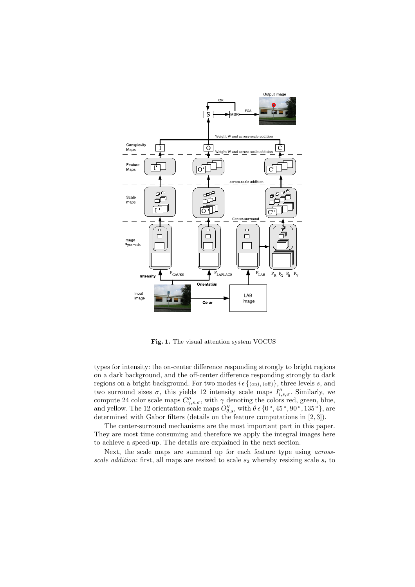

Fig. 1. The visual attention system VOCUS

types for intensity: the on-center difference responding strongly to bright regions on a dark background, and the off-center difference responding strongly to dark regions on a bright background. For two modes  $i \in \{(\text{on}), (\text{off})\}\$ , three levels s, and two surround sizes  $\sigma$ , this yields 12 intensity scale maps  $I''_{i,s,\sigma}$ . Similarly, we compute 24 color scale maps  $C''_{\gamma,s,\sigma}$ , with  $\gamma$  denoting the colors red, green, blue, and yellow. The 12 orientation scale maps  $O_{\theta,s}''$ , with  $\theta \in \{0^\circ, 45^\circ, 90^\circ, 135^\circ\}$ , are determined with Gabor filters (details on the feature computations in [2, 3]).

The center-surround mechanisms are the most important part in this paper. They are most time consuming and therefore we apply the integral images here to achieve a speed-up. The details are explained in the next section.

Next, the scale maps are summed up for each feature type using acrossscale addition: first, all maps are resized to scale  $s_2$  whereby resizing scale  $s_i$  to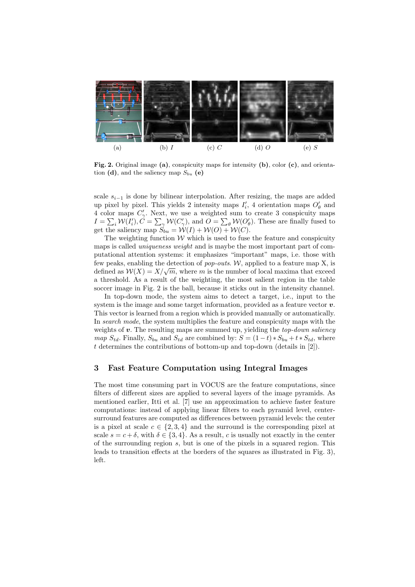

Fig. 2. Original image (a), conspicuity maps for intensity (b), color (c), and orientation (d), and the saliency map  $S_{bu}$  (e)

scale  $s_{i-1}$  is done by bilinear interpolation. After resizing, the maps are added up pixel by pixel. This yields 2 intensity maps  $I'_i$ , 4 orientation maps  $O'_{\theta}$  and 4 color maps  $C'_{\gamma}$ . Next, we use a weighted sum to create 3 conspicuity maps 4 color maps  $C_{\gamma}$ . Next, we use a weighted sum to create 5 conspicutly maps  $I = \sum_i \mathcal{W}(I'_i)$ ,  $C = \sum_{\gamma} \mathcal{W}(C'_{\gamma})$ , and  $O = \sum_{\theta} \mathcal{W}(O'_{\theta})$ . These are finally fused to get the saliency map  $S_{bu} = \mathcal{W}(I) + \mathcal{W}(O) + \mathcal{W}(C)$ .

The weighting function  $W$  which is used to fuse the feature and conspicuity maps is called *uniqueness weight* and is maybe the most important part of computational attention systems: it emphasizes "important" maps, i.e. those with few peaks, enabling the detection of *pop-outs.* W, applied to a feature map  $X$ , is defined as  $W(X) = X/\sqrt{m}$ , where m is the number of local maxima that exceed a threshold. As a result of the weighting, the most salient region in the table soccer image in Fig. 2 is the ball, because it sticks out in the intensity channel.

In top-down mode, the system aims to detect a target, i.e., input to the system is the image and some target information, provided as a feature vector  $\boldsymbol{v}$ . This vector is learned from a region which is provided manually or automatically. In search mode, the system multiplies the feature and conspicuity maps with the weights of  $v$ . The resulting maps are summed up, yielding the *top-down saliency* map  $S_{td}$ . Finally,  $S_{bu}$  and  $S_{td}$  are combined by:  $S = (1-t) * S_{bu} + t * S_{td}$ , where t determines the contributions of bottom-up and top-down (details in [2]).

#### 3 Fast Feature Computation using Integral Images

The most time consuming part in VOCUS are the feature computations, since filters of different sizes are applied to several layers of the image pyramids. As mentioned earlier, Itti et al. [7] use an approximation to achieve faster feature computations: instead of applying linear filters to each pyramid level, centersurround features are computed as differences between pyramid levels: the center is a pixel at scale  $c \in \{2,3,4\}$  and the surround is the corresponding pixel at scale  $s = c + \delta$ , with  $\delta \in \{3, 4\}$ . As a result, c is usually not exactly in the center of the surrounding region s, but is one of the pixels in a squared region. This leads to transition effects at the borders of the squares as illustrated in Fig. 3), left.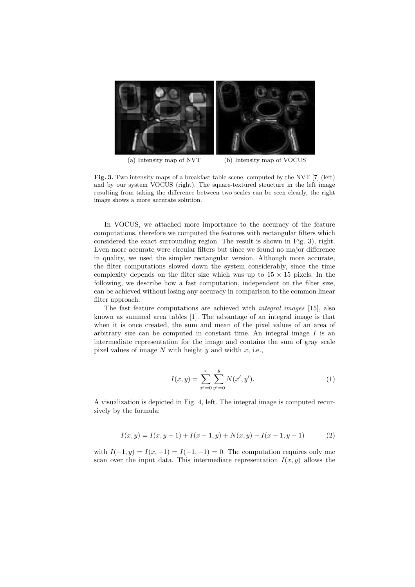

(a) Intensity map of NVT (b) Intensity map of VOCUS

Fig. 3. Two intensity maps of a breakfast table scene, computed by the NVT [7] (left) and by our system VOCUS (right). The square-textured structure in the left image resulting from taking the difference between two scales can be seen clearly, the right image shows a more accurate solution.

In VOCUS, we attached more importance to the accuracy of the feature computations, therefore we computed the features with rectangular filters which considered the exact surrounding region. The result is shown in Fig. 3), right. Even more accurate were circular filters but since we found no major difference in quality, we used the simpler rectangular version. Although more accurate, the filter computations slowed down the system considerably, since the time complexity depends on the filter size which was up to  $15 \times 15$  pixels. In the following, we describe how a fast computation, independent on the filter size, can be achieved without losing any accuracy in comparison to the common linear filter approach.

The fast feature computations are achieved with integral images [15], also known as summed area tables [1]. The advantage of an integral image is that when it is once created, the sum and mean of the pixel values of an area of arbitrary size can be computed in constant time. An integral image  $I$  is an intermediate representation for the image and contains the sum of gray scale pixel values of image  $N$  with height  $y$  and width  $x$ , i.e.,

$$
I(x,y) = \sum_{x'=0}^{x} \sum_{y'=0}^{y} N(x', y').
$$
 (1)

A visualization is depicted in Fig. 4, left. The integral image is computed recursively by the formula:

$$
I(x,y) = I(x,y-1) + I(x-1,y) + N(x,y) - I(x-1,y-1)
$$
 (2)

with  $I(-1, y) = I(x, -1) = I(-1, -1) = 0$ . The computation requires only one scan over the input data. This intermediate representation  $I(x, y)$  allows the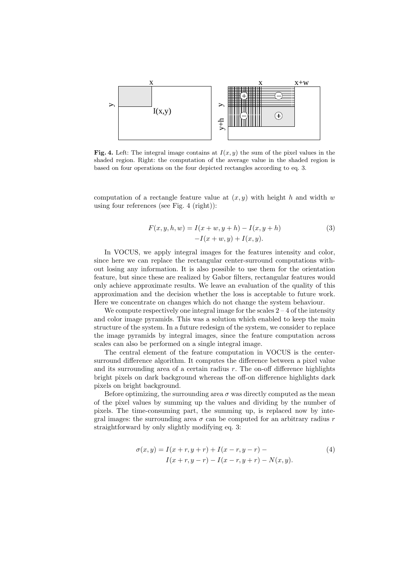

Fig. 4. Left: The integral image contains at  $I(x, y)$  the sum of the pixel values in the shaded region. Right: the computation of the average value in the shaded region is based on four operations on the four depicted rectangles according to eq. 3.

computation of a rectangle feature value at  $(x, y)$  with height h and width w using four references (see Fig. 4 (right)):

$$
F(x, y, h, w) = I(x + w, y + h) - I(x, y + h)
$$
  
-
$$
I(x + w, y) + I(x, y).
$$
 (3)

In VOCUS, we apply integral images for the features intensity and color, since here we can replace the rectangular center-surround computations without losing any information. It is also possible to use them for the orientation feature, but since these are realized by Gabor filters, rectangular features would only achieve approximate results. We leave an evaluation of the quality of this approximation and the decision whether the loss is acceptable to future work. Here we concentrate on changes which do not change the system behaviour.

We compute respectively one integral image for the scales  $2 - 4$  of the intensity and color image pyramids. This was a solution which enabled to keep the main structure of the system. In a future redesign of the system, we consider to replace the image pyramids by integral images, since the feature computation across scales can also be performed on a single integral image.

The central element of the feature computation in VOCUS is the centersurround difference algorithm. It computes the difference between a pixel value and its surrounding area of a certain radius  $r$ . The on-off difference highlights bright pixels on dark background whereas the off-on difference highlights dark pixels on bright background.

Before optimizing, the surrounding area  $\sigma$  was directly computed as the mean of the pixel values by summing up the values and dividing by the number of pixels. The time-consuming part, the summing up, is replaced now by integral images: the surrounding area  $\sigma$  can be computed for an arbitrary radius r straightforward by only slightly modifying eq. 3:

$$
\sigma(x,y) = I(x+r, y+r) + I(x-r, y-r) -I(x+r, y-r) - I(x-r, y+r) - N(x, y).
$$
\n(4)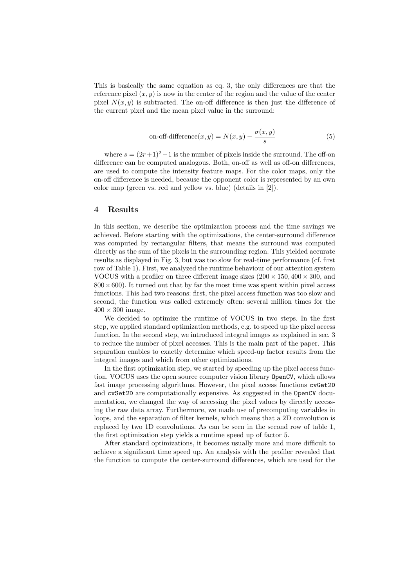This is basically the same equation as eq. 3, the only differences are that the reference pixel  $(x, y)$  is now in the center of the region and the value of the center pixel  $N(x, y)$  is subtracted. The on-off difference is then just the difference of the current pixel and the mean pixel value in the surround:

on-off-difference
$$
(x, y) = N(x, y) - \frac{\sigma(x, y)}{s}
$$
 (5)

where  $s = (2r+1)^2-1$  is the number of pixels inside the surround. The off-on difference can be computed analogous. Both, on-off as well as off-on differences, are used to compute the intensity feature maps. For the color maps, only the on-off difference is needed, because the opponent color is represented by an own color map (green vs. red and yellow vs. blue) (details in [2]).

# 4 Results

In this section, we describe the optimization process and the time savings we achieved. Before starting with the optimizations, the center-surround difference was computed by rectangular filters, that means the surround was computed directly as the sum of the pixels in the surrounding region. This yielded accurate results as displayed in Fig. 3, but was too slow for real-time performance (cf. first row of Table 1). First, we analyzed the runtime behaviour of our attention system VOCUS with a profiler on three different image sizes  $(200 \times 150, 400 \times 300, \text{ and})$  $800 \times 600$ ). It turned out that by far the most time was spent within pixel access functions. This had two reasons: first, the pixel access function was too slow and second, the function was called extremely often: several million times for the  $400 \times 300$  image.

We decided to optimize the runtime of VOCUS in two steps. In the first step, we applied standard optimization methods, e.g. to speed up the pixel access function. In the second step, we introduced integral images as explained in sec. 3 to reduce the number of pixel accesses. This is the main part of the paper. This separation enables to exactly determine which speed-up factor results from the integral images and which from other optimizations.

In the first optimization step, we started by speeding up the pixel access function. VOCUS uses the open source computer vision library OpenCV, which allows fast image processing algorithms. However, the pixel access functions cvGet2D and cvSet2D are computationally expensive. As suggested in the OpenCV documentation, we changed the way of accessing the pixel values by directly accessing the raw data array. Furthermore, we made use of precomputing variables in loops, and the separation of filter kernels, which means that a 2D convolution is replaced by two 1D convolutions. As can be seen in the second row of table 1, the first optimization step yields a runtime speed up of factor 5.

After standard optimizations, it becomes usually more and more difficult to achieve a significant time speed up. An analysis with the profiler revealed that the function to compute the center-surround differences, which are used for the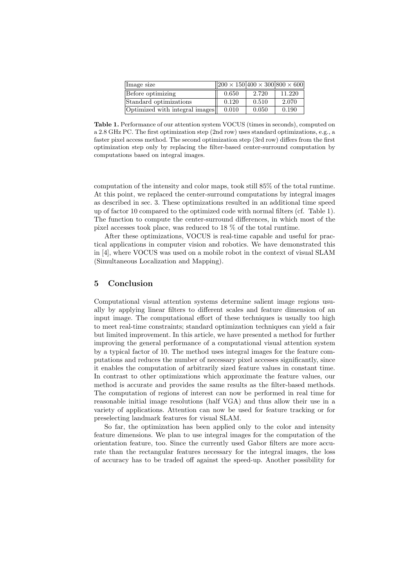| Image size                     | $  200 \times 150 400 \times 300 800 \times 600$ |       |        |
|--------------------------------|--------------------------------------------------|-------|--------|
| Before optimizing              | 0.650                                            | 2.720 | 11.220 |
| Standard optimizations         | 0.120                                            | 0.510 | 2.070  |
| Optimized with integral images | 0.010                                            | 0.050 | 0.190  |

Table 1. Performance of our attention system VOCUS (times in seconds), computed on a 2.8 GHz PC. The first optimization step (2nd row) uses standard optimizations, e.g., a faster pixel access method. The second optimization step (3rd row) differs from the first optimization step only by replacing the filter-based center-surround computation by computations based on integral images.

computation of the intensity and color maps, took still 85% of the total runtime. At this point, we replaced the center-surround computations by integral images as described in sec. 3. These optimizations resulted in an additional time speed up of factor 10 compared to the optimized code with normal filters (cf. Table 1). The function to compute the center-surround differences, in which most of the pixel accesses took place, was reduced to 18 % of the total runtime.

After these optimizations, VOCUS is real-time capable and useful for practical applications in computer vision and robotics. We have demonstrated this in [4], where VOCUS was used on a mobile robot in the context of visual SLAM (Simultaneous Localization and Mapping).

### 5 Conclusion

Computational visual attention systems determine salient image regions usually by applying linear filters to different scales and feature dimension of an input image. The computational effort of these techniques is usually too high to meet real-time constraints; standard optimization techniques can yield a fair but limited improvement. In this article, we have presented a method for further improving the general performance of a computational visual attention system by a typical factor of 10. The method uses integral images for the feature computations and reduces the number of necessary pixel accesses significantly, since it enables the computation of arbitrarily sized feature values in constant time. In contrast to other optimizations which approximate the feature values, our method is accurate and provides the same results as the filter-based methods. The computation of regions of interest can now be performed in real time for reasonable initial image resolutions (half VGA) and thus allow their use in a variety of applications. Attention can now be used for feature tracking or for preselecting landmark features for visual SLAM.

So far, the optimization has been applied only to the color and intensity feature dimensions. We plan to use integral images for the computation of the orientation feature, too. Since the currently used Gabor filters are more accurate than the rectangular features necessary for the integral images, the loss of accuracy has to be traded off against the speed-up. Another possibility for